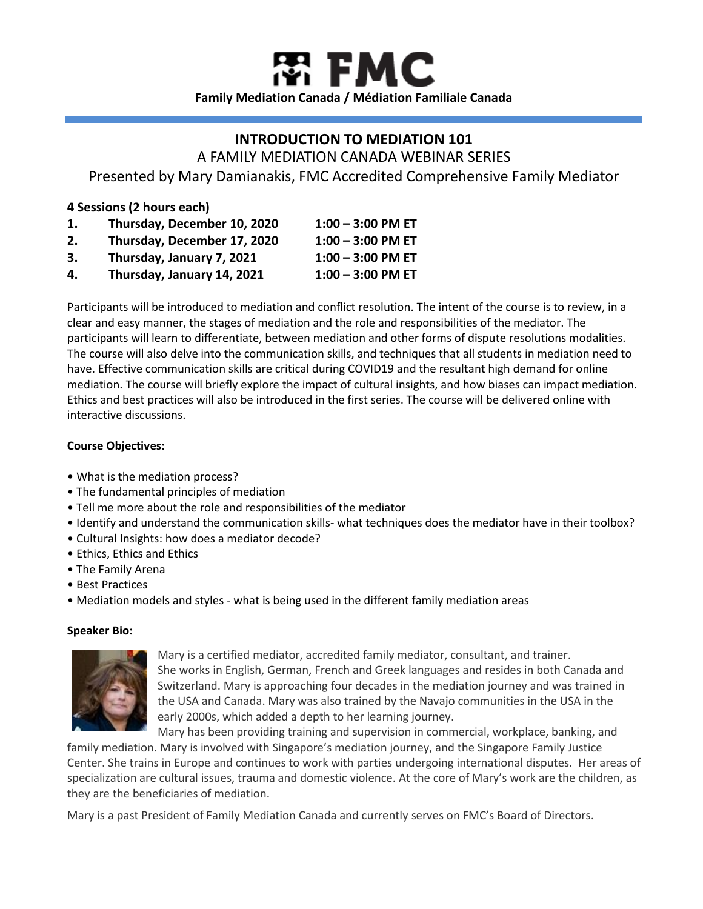

# **INTRODUCTION TO MEDIATION 101** A FAMILY MEDIATION CANADA WEBINAR SERIES

Presented by Mary Damianakis, FMC Accredited Comprehensive Family Mediator

### **4 Sessions (2 hours each)**

| 1. | Thursday, December 10, 2020 | $1:00 - 3:00$ PM ET |
|----|-----------------------------|---------------------|
| 2. | Thursday, December 17, 2020 | $1:00 - 3:00$ PM ET |
| 3. | Thursday, January 7, 2021   | $1:00 - 3:00$ PM ET |
| 4. | Thursday, January 14, 2021  | $1:00 - 3:00$ PM ET |

Participants will be introduced to mediation and conflict resolution. The intent of the course is to review, in a clear and easy manner, the stages of mediation and the role and responsibilities of the mediator. The participants will learn to differentiate, between mediation and other forms of dispute resolutions modalities. The course will also delve into the communication skills, and techniques that all students in mediation need to have. Effective communication skills are critical during COVID19 and the resultant high demand for online mediation. The course will briefly explore the impact of cultural insights, and how biases can impact mediation. Ethics and best practices will also be introduced in the first series. The course will be delivered online with interactive discussions.

#### **Course Objectives:**

- What is the mediation process?
- The fundamental principles of mediation
- Tell me more about the role and responsibilities of the mediator
- Identify and understand the communication skills- what techniques does the mediator have in their toolbox?
- Cultural Insights: how does a mediator decode?
- Ethics, Ethics and Ethics
- The Family Arena
- Best Practices
- Mediation models and styles what is being used in the different family mediation areas

#### **Speaker Bio:**



Mary is a certified mediator, accredited family mediator, consultant, and trainer. She works in English, German, French and Greek languages and resides in both Canada and Switzerland. Mary is approaching four decades in the mediation journey and was trained in the USA and Canada. Mary was also trained by the Navajo communities in the USA in the early 2000s, which added a depth to her learning journey.

Mary has been providing training and supervision in commercial, workplace, banking, and

family mediation. Mary is involved with Singapore's mediation journey, and the Singapore Family Justice Center. She trains in Europe and continues to work with parties undergoing international disputes. Her areas of specialization are cultural issues, trauma and domestic violence. At the core of Mary's work are the children, as they are the beneficiaries of mediation.

Mary is a past President of Family Mediation Canada and currently serves on FMC's Board of Directors.